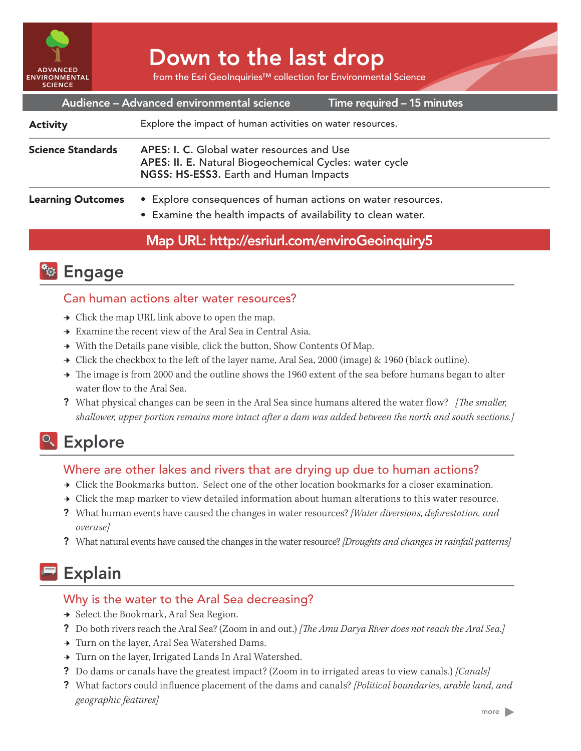

# Down to the last drop

from the Esri GeoInquiries™ collection for Environmental Science

| Audience - Advanced environmental science<br>Time required - 15 minutes |                                                                                                                                                 |
|-------------------------------------------------------------------------|-------------------------------------------------------------------------------------------------------------------------------------------------|
| <b>Activity</b>                                                         | Explore the impact of human activities on water resources.                                                                                      |
| <b>Science Standards</b>                                                | APES: I. C. Global water resources and Use<br>APES: II. E. Natural Biogeochemical Cycles: water cycle<br>NGSS: HS-ESS3. Earth and Human Impacts |
| <b>Learning Outcomes</b>                                                | • Explore consequences of human actions on water resources.<br>• Examine the health impacts of availability to clean water.                     |

## Map URL: http://esriurl.com/enviroGeoinquiry5



## Can human actions alter water resources?

- $\rightarrow$  Click the map URL link above to open the map.
- $\rightarrow \;$  Examine the recent view of the Aral Sea in Central Asia.
- $\rightarrow$  With the Details pane visible, click the button, Show Contents Of Map.
- → Click the checkbox to the left of the layer name, Aral Sea, 2000 (image) & 1960 (black outline).
- → The image is from 2000 and the outline shows the 1960 extent of the sea before humans began to alter water flow to the Aral Sea.
- ? What physical changes can be seen in the Aral Sea since humans altered the water flow? *[The smaller, shallower, upper portion remains more intact after a dam was added between the north and south sections.]*

# <sup>Q</sup> Explore

## Where are other lakes and rivers that are drying up due to human actions?

- → Click the Bookmarks button. Select one of the other location bookmarks for a closer examination.
- → Click the map marker to view detailed information about human alterations to this water resource.
- ? What human events have caused the changes in water resources? *[Water diversions, deforestation, and overuse]*
- ? What natural events have caused the changes in the water resource? *[Droughts and changes in rainfall patterns]*

# Explain

## Why is the water to the Aral Sea decreasing?

- → Select the Bookmark, Aral Sea Region.
- ? Do both rivers reach the Aral Sea? (Zoom in and out.) *[The Amu Darya River does not reach the Aral Sea.]*
- → Turn on the layer, Aral Sea Watershed Dams.
- → Turn on the layer, Irrigated Lands In Aral Watershed.
- ? Do dams or canals have the greatest impact? (Zoom in to irrigated areas to view canals.) *[Canals]*
- ? What factors could influence placement of the dams and canals? *[Political boundaries, arable land, and geographic features]*